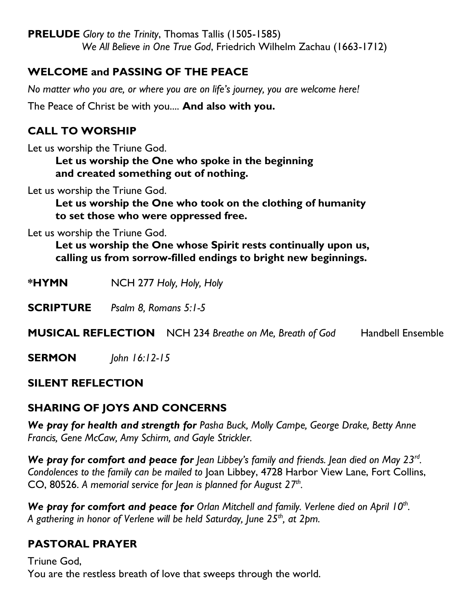**PRELUDE** *Glory to the Trinity*, Thomas Tallis (1505-1585) *We All Believe in One True God*, Friedrich Wilhelm Zachau (1663-1712)

# **WELCOME and PASSING OF THE PEACE**

*No matter who you are, or where you are on life's journey, you are welcome here!*

The Peace of Christ be with you.... **And also with you.**

# **CALL TO WORSHIP**

Let us worship the Triune God.

**Let us worship the One who spoke in the beginning and created something out of nothing.**

Let us worship the Triune God.

**Let us worship the One who took on the clothing of humanity to set those who were oppressed free.**

Let us worship the Triune God.

**Let us worship the One whose Spirit rests continually upon us, calling us from sorrow-filled endings to bright new beginnings.**

**\*HYMN** NCH 277 *Holy, Holy, Holy*

**SCRIPTURE** *Psalm 8, Romans 5:1-5*

**MUSICAL REFLECTION** NCH 234 *Breathe on Me, Breath of God* Handbell Ensemble

**SERMON** *John 16:12-15*

#### **SILENT REFLECTION**

# **SHARING OF JOYS AND CONCERNS**

*We pray for health and strength for Pasha Buck, Molly Campe, George Drake, Betty Anne Francis, Gene McCaw, Amy Schirm, and Gayle Strickler.*

We pray for comfort and peace for Jean Libbey's family and friends. Jean died on May 23<sup>rd</sup>. *Condolences to the family can be mailed to* Joan Libbey, 4728 Harbor View Lane, Fort Collins, CO, 80526. *A memorial service for Jean is planned for August 27th .*

We pray for comfort and peace for Orlan Mitchell and family. Verlene died on April 10<sup>th</sup>. *A gathering in honor of Verlene will be held Saturday, June 25th, at 2pm.*

# **PASTORAL PRAYER**

Triune God, You are the restless breath of love that sweeps through the world.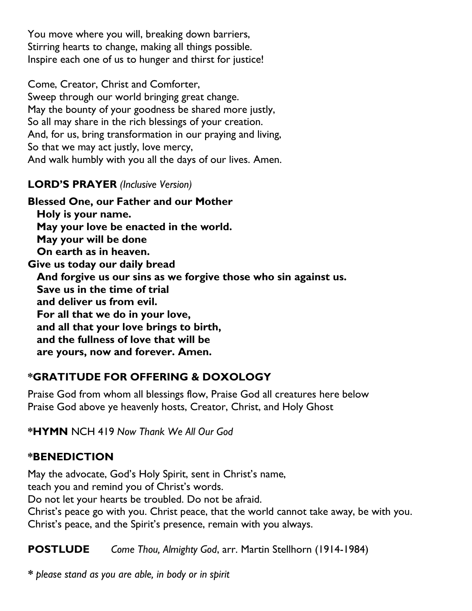You move where you will, breaking down barriers, Stirring hearts to change, making all things possible. Inspire each one of us to hunger and thirst for justice!

Come, Creator, Christ and Comforter, Sweep through our world bringing great change. May the bounty of your goodness be shared more justly, So all may share in the rich blessings of your creation. And, for us, bring transformation in our praying and living, So that we may act justly, love mercy, And walk humbly with you all the days of our lives. Amen.

#### **LORD'S PRAYER** *(Inclusive Version)*

**Blessed One, our Father and our Mother Holy is your name. May your love be enacted in the world. May your will be done On earth as in heaven. Give us today our daily bread And forgive us our sins as we forgive those who sin against us. Save us in the time of trial and deliver us from evil. For all that we do in your love, and all that your love brings to birth, and the fullness of love that will be are yours, now and forever. Amen.**

# **\*GRATITUDE FOR OFFERING & DOXOLOGY**

Praise God from whom all blessings flow, Praise God all creatures here below Praise God above ye heavenly hosts, Creator, Christ, and Holy Ghost

**\*HYMN** NCH 419 *Now Thank We All Our God*

#### **\*BENEDICTION**

May the advocate, God's Holy Spirit, sent in Christ's name,

teach you and remind you of Christ's words.

Do not let your hearts be troubled. Do not be afraid.

Christ's peace go with you. Christ peace, that the world cannot take away, be with you. Christ's peace, and the Spirit's presence, remain with you always.

**POSTLUDE** *Come Thou, Almighty God*, arr. Martin Stellhorn (1914-1984)

*\* please stand as you are able, in body or in spirit*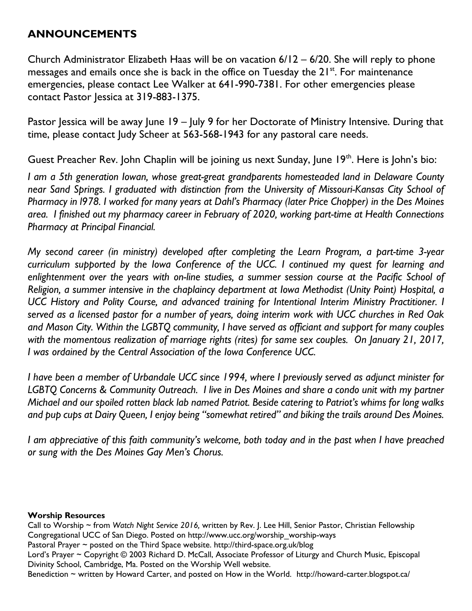#### **ANNOUNCEMENTS**

Church Administrator Elizabeth Haas will be on vacation 6/12 – 6/20. She will reply to phone messages and emails once she is back in the office on Tuesday the 21<sup>st</sup>. For maintenance emergencies, please contact Lee Walker at 641-990-7381. For other emergencies please contact Pastor Jessica at 319-883-1375.

Pastor Jessica will be away June 19 – July 9 for her Doctorate of Ministry Intensive. During that time, please contact Judy Scheer at 563-568-1943 for any pastoral care needs.

Guest Preacher Rev. John Chaplin will be joining us next Sunday, June 19<sup>th</sup>. Here is John's bio:

*I am a 5th generation Iowan, whose great-great grandparents homesteaded land in Delaware County near Sand Springs. I graduated with distinction from the University of Missouri-Kansas City School of* Pharmacy in 1978. I worked for many years at Dahl's Pharmacy (later Price Chopper) in the Des Moines *area. I finished out my pharmacy career in February of 2020, working part-time at Health Connections Pharmacy at Principal Financial.*

*My second career (in ministry) developed after completing the Learn Program, a part-time 3-year curriculum supported by the Iowa Conference of the UCC. I continued my quest for learning and enlightenment over the years with on-line studies, a summer session course at the Pacific School of Religion, a summer intensive in the chaplaincy department at Iowa Methodist (Unity Point) Hospital, a UCC History and Polity Course, and advanced training for Intentional Interim Ministry Practitioner. I* served as a licensed pastor for a number of years, doing interim work with UCC churches in Red Oak *and Mason City. Within the LGBTQ community, I have served as officiant and support for many couples with the momentous realization of marriage rights (rites) for same sex couples. On January 21, 2017, I was ordained by the Central Association of the Iowa Conference UCC.*

I have been a member of Urbandale UCC since 1994, where I previously served as adjunct minister for *LGBTQ Concerns & Community Outreach. I live in Des Moines and share a condo unit with my partner Michael and our spoiled rotten black lab named Patriot. Beside catering to Patriot's whims for long walks* and pup cups at Dairy Queen, I enjoy being "somewhat retired" and biking the trails around Des Moines.

I am appreciative of this faith community's welcome, both today and in the past when I have preached *or sung with the Des Moines Gay Men's Chorus.* 

#### **Worship Resources**

Call to Worship ~ from *Watch Night Service 2016,* written by Rev. J. Lee Hill, Senior Pastor, Christian Fellowship Congregational UCC of San Diego. Posted on [http://www.ucc.org/worship\\_worship-ways](http://www.ucc.org/worship_worship-ways)

Pastoral Prayer ~ posted on the Third Space website.<http://third-space.org.uk/blog>

Lord's Prayer ~ Copyright © 2003 Richard D. McCall, Associate Professor of Liturgy and Church Music, Episcopal Divinity School, Cambridge, Ma. Posted on the [Worship Well](http://www.theworshipwell.org/pdf/WOR_McCall3.pdf) website.

Benediction ~ written by Howard Carter, and posted on How in the World. <http://howard-carter.blogspot.ca/>